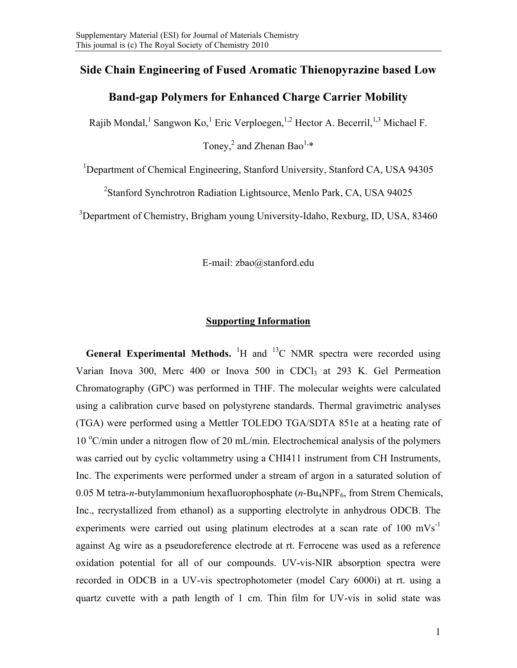# **Side Chain Engineering of Fused Aromatic Thienopyrazine based Low**

### **Band-gap Polymers for Enhanced Charge Carrier Mobility**

Rajib Mondal, <sup>1</sup> Sangwon Ko, <sup>1</sup> Eric Verploegen, <sup>1,2</sup> Hector A. Becerril, <sup>1,3</sup> Michael F.

Toney, <sup>2</sup> and Zhenan Bao<sup>1,\*</sup>

<sup>1</sup>Department of Chemical Engineering, Stanford University, Stanford CA, USA 94305

<sup>2</sup>Stanford Synchrotron Radiation Lightsource, Menlo Park, CA, USA 94025

<sup>3</sup>Department of Chemistry, Brigham young University-Idaho, Rexburg, ID, USA, 83460

E-mail: zbao@stanford.edu

#### **Supporting Information**

**General Experimental Methods.** <sup>1</sup>H and <sup>13</sup>C NMR spectra were recorded using Varian Inova 300, Merc 400 or Inova 500 in CDCl<sub>3</sub> at 293 K. Gel Permeation Chromatography (GPC) was performed in THF. The molecular weights were calculated using a calibration curve based on polystyrene standards. Thermal gravimetric analyses (TGA) were performed using a Mettler TOLEDO TGA/SDTA 851e at a heating rate of 10 °C/min under a nitrogen flow of 20 mL/min. Electrochemical analysis of the polymers was carried out by cyclic voltammetry using a CHI411 instrument from CH Instruments, Inc. The experiments were performed under a stream of argon in a saturated solution of 0.05 M tetra-*n*-butylammonium hexafluorophosphate (*n*-Bu<sub>4</sub>NPF<sub>6</sub>, from Strem Chemicals, Inc., recrystallized from ethanol) as a supporting electrolyte in anhydrous ODCB. The experiments were carried out using platinum electrodes at a scan rate of 100 mVs<sup>-1</sup> against Ag wire as a pseudoreference electrode at rt. Ferrocene was used as a reference oxidation potential for all of our compounds. UV-vis-NIR absorption spectra were recorded in ODCB in a UV-vis spectrophotometer (model Cary 6000i) at rt. using a quartz cuvette with a path length of 1 cm. Thin film for UV-vis in solid state was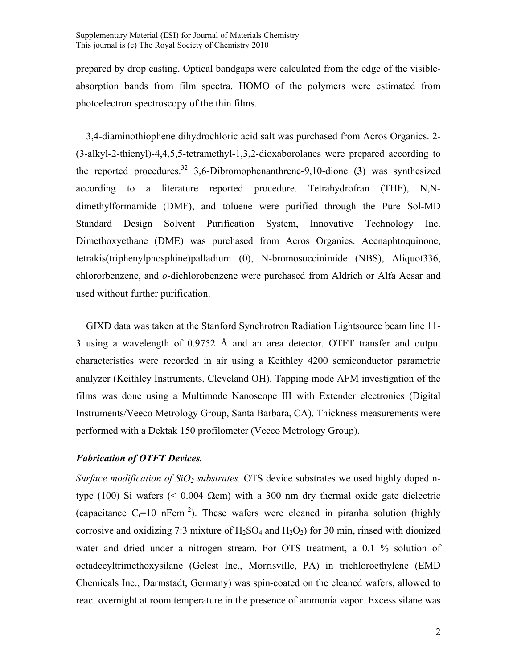prepared by drop casting. Optical bandgaps were calculated from the edge of the visibleabsorption bands from film spectra. HOMO of the polymers were estimated from photoelectron spectroscopy of the thin films.

3,4-diaminothiophene dihydrochloric acid salt was purchased from Acros Organics. 2- (3-alkyl-2-thienyl)-4,4,5,5-tetramethyl-1,3,2-dioxaborolanes were prepared according to the reported procedures.<sup>32</sup> 3,6-Dibromophenanthrene-9,10-dione (3) was synthesized according to a literature reported procedure. Tetrahydrofran (THF), N,Ndimethylformamide (DMF), and toluene were purified through the Pure Sol-MD Standard Design Solvent Purification System, Innovative Technology Inc. Dimethoxyethane (DME) was purchased from Acros Organics. Acenaphtoquinone, tetrakis(triphenylphosphine)palladium (0), N-bromosuccinimide (NBS), Aliquot336, chlororbenzene, and *o*-dichlorobenzene were purchased from Aldrich or Alfa Aesar and used without further purification.

GIXD data was taken at the Stanford Synchrotron Radiation Lightsource beam line 11- 3 using a wavelength of 0.9752 Å and an area detector. OTFT transfer and output characteristics were recorded in air using a Keithley 4200 semiconductor parametric analyzer (Keithley Instruments, Cleveland OH). Tapping mode AFM investigation of the films was done using a Multimode Nanoscope III with Extender electronics (Digital Instruments/Veeco Metrology Group, Santa Barbara, CA). Thickness measurements were performed with a Dektak 150 profilometer (Veeco Metrology Group).

## *Fabrication of OTFT Devices.*

*Surface modification of SiO<sub>2</sub> substrates.* OTS device substrates we used highly doped ntype (100) Si wafers (< 0.004 Ωcm) with a 300 nm dry thermal oxide gate dielectric (capacitance  $C_i=10$  nFcm<sup>-2</sup>). These wafers were cleaned in piranha solution (highly corrosive and oxidizing 7:3 mixture of  $H_2SO_4$  and  $H_2O_2$ ) for 30 min, rinsed with dionized water and dried under a nitrogen stream. For OTS treatment, a 0.1 % solution of octadecyltrimethoxysilane (Gelest Inc., Morrisville, PA) in trichloroethylene (EMD Chemicals Inc., Darmstadt, Germany) was spin-coated on the cleaned wafers, allowed to react overnight at room temperature in the presence of ammonia vapor. Excess silane was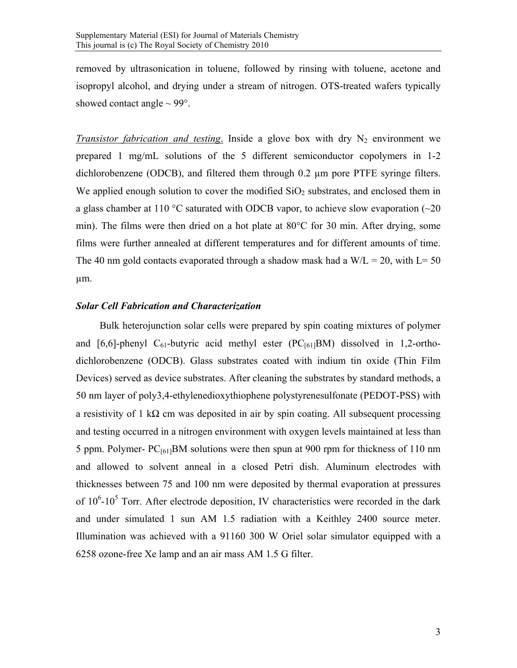removed by ultrasonication in toluene, followed by rinsing with toluene, acetone and isopropyl alcohol, and drying under a stream of nitrogen. OTS-treated wafers typically showed contact angle  $\sim$  99 $^{\circ}$ .

*Transistor fabrication and testing.* Inside a glove box with dry  $N_2$  environment we prepared 1 mg/mL solutions of the 5 different semiconductor copolymers in 1-2 dichlorobenzene (ODCB), and filtered them through 0.2 µm pore PTFE syringe filters. We applied enough solution to cover the modified  $SiO<sub>2</sub>$  substrates, and enclosed them in a glass chamber at 110  $\degree$ C saturated with ODCB vapor, to achieve slow evaporation ( $\sim$ 20 min). The films were then dried on a hot plate at 80°C for 30 min. After drying, some films were further annealed at different temperatures and for different amounts of time. The 40 nm gold contacts evaporated through a shadow mask had a  $W/L = 20$ , with  $L = 50$ µm.

#### *Solar Cell Fabrication and Characterization*

 Bulk heterojunction solar cells were prepared by spin coating mixtures of polymer and [6,6]-phenyl  $C_{61}$ -butyric acid methyl ester (PC $_{[61]}$ BM) dissolved in 1,2-orthodichlorobenzene (ODCB). Glass substrates coated with indium tin oxide (Thin Film Devices) served as device substrates. After cleaning the substrates by standard methods, a 50 nm layer of poly3,4-ethylenedioxythiophene polystyrenesulfonate (PEDOT-PSS) with a resistivity of 1 k $\Omega$  cm was deposited in air by spin coating. All subsequent processing and testing occurred in a nitrogen environment with oxygen levels maintained at less than 5 ppm. Polymer-  $PC_{[61]}BM$  solutions were then spun at 900 rpm for thickness of 110 nm and allowed to solvent anneal in a closed Petri dish. Aluminum electrodes with thicknesses between 75 and 100 nm were deposited by thermal evaporation at pressures of  $10^6$ - $10^5$  Torr. After electrode deposition, IV characteristics were recorded in the dark and under simulated 1 sun AM 1.5 radiation with a Keithley 2400 source meter. Illumination was achieved with a 91160 300 W Oriel solar simulator equipped with a 6258 ozone-free Xe lamp and an air mass AM 1.5 G filter.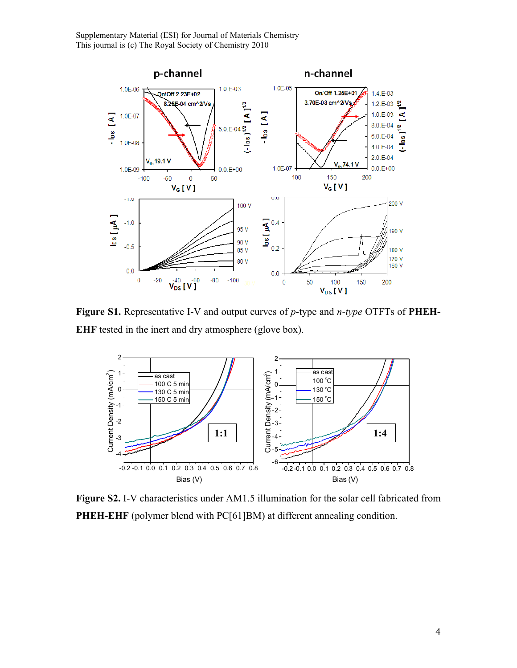

**Figure S1.** Representative I-V and output curves of *p*-type and *n-type* OTFTs of **PHEH-EHF** tested in the inert and dry atmosphere (glove box).



**Figure S2.** I-V characteristics under AM1.5 illumination for the solar cell fabricated from **PHEH-EHF** (polymer blend with PC[61]BM) at different annealing condition.